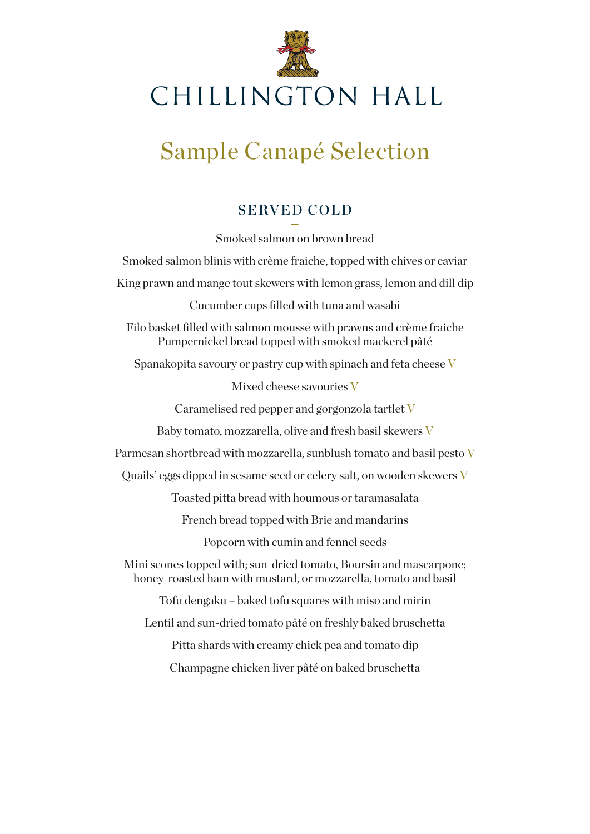

# Sample Canapé Selection

#### SERVED COLD

**–** Smoked salmon on brown bread Smoked salmon blinis with crème fraiche, topped with chives or caviar King prawn and mange tout skewers with lemon grass, lemon and dill dip Cucumber cups filled with tuna and wasabi Filo basket filled with salmon mousse with prawns and crème fraiche Pumpernickel bread topped with smoked mackerel pâté Spanakopita savoury or pastry cup with spinach and feta cheese V Mixed cheese savouries V Caramelised red pepper and gorgonzola tartlet V Baby tomato, mozzarella, olive and fresh basil skewers V Parmesan shortbread with mozzarella, sunblush tomato and basil pesto  $V$ Quails' eggs dipped in sesame seed or celery salt, on wooden skewers V Toasted pitta bread with houmous or taramasalata French bread topped with Brie and mandarins Popcorn with cumin and fennel seeds Mini scones topped with; sun-dried tomato, Boursin and mascarpone; honey-roasted ham with mustard, or mozzarella, tomato and basil Tofu dengaku – baked tofu squares with miso and mirin Lentil and sun-dried tomato pâté on freshly baked bruschetta Pitta shards with creamy chick pea and tomato dip Champagne chicken liver pâté on baked bruschetta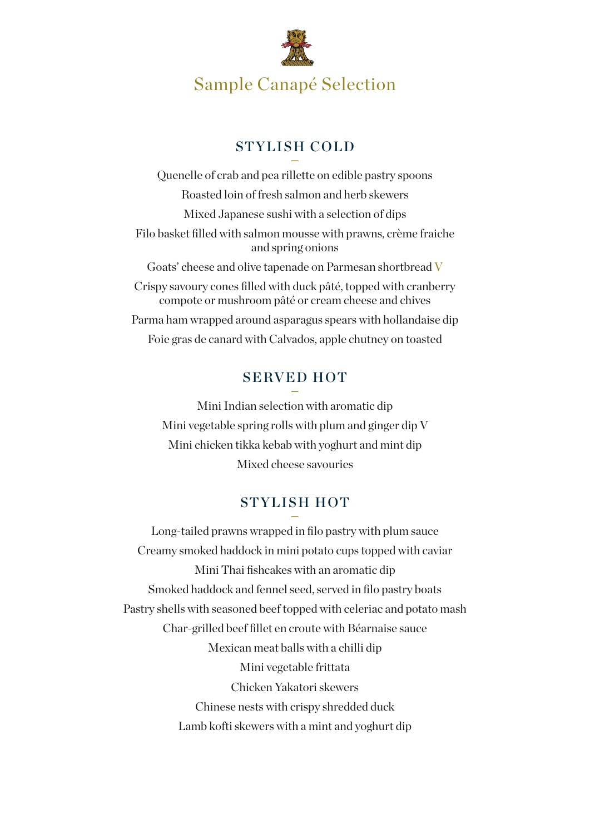

## Sample Canapé Selection

#### STYLISH COLD

**–** Quenelle of crab and pea rillette on edible pastry spoons Roasted loin of fresh salmon and herb skewers Mixed Japanese sushi with a selection of dips Filo basket filled with salmon mousse with prawns, crème fraiche and spring onions Goats' cheese and olive tapenade on Parmesan shortbread V Crispy savoury cones filled with duck pâté, topped with cranberry compote or mushroom pâté or cream cheese and chives Parma ham wrapped around asparagus spears with hollandaise dip Foie gras de canard with Calvados, apple chutney on toasted

#### SERVED HOT

**–** Mini Indian selection with aromatic dip Mini vegetable spring rolls with plum and ginger dip V Mini chicken tikka kebab with yoghurt and mint dip Mixed cheese savouries

#### STYLISH HOT

**–** Long-tailed prawns wrapped in filo pastry with plum sauce Creamy smoked haddock in mini potato cups topped with caviar Mini Thai fishcakes with an aromatic dip Smoked haddock and fennel seed, served in filo pastry boats Pastry shells with seasoned beef topped with celeriac and potato mash Char-grilled beef fillet en croute with Béarnaise sauce Mexican meat balls with a chilli dip Mini vegetable frittata Chicken Yakatori skewers Chinese nests with crispy shredded duck Lamb kofti skewers with a mint and yoghurt dip